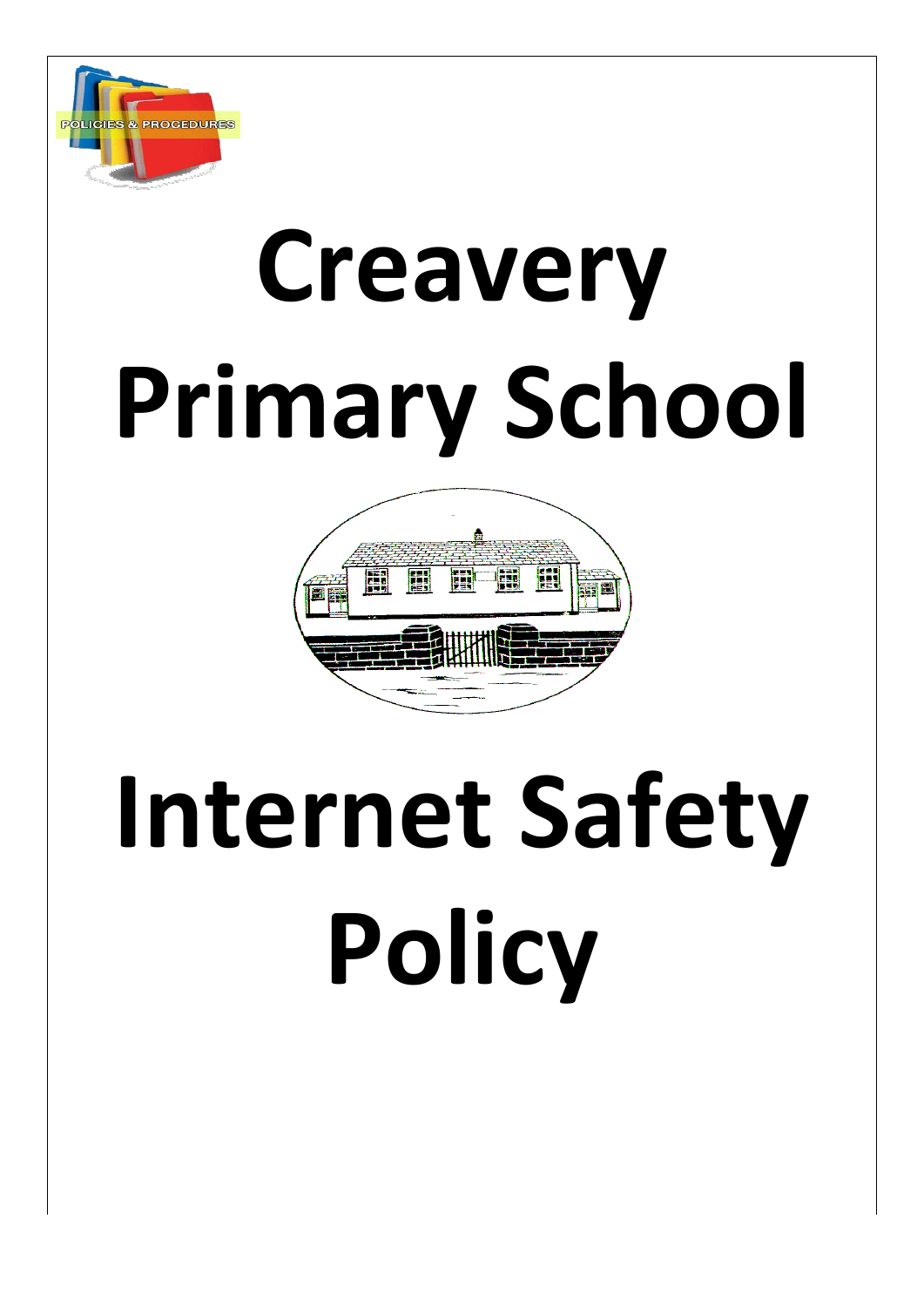

# **Creavery Primary School**



## **Internet Safety Policy**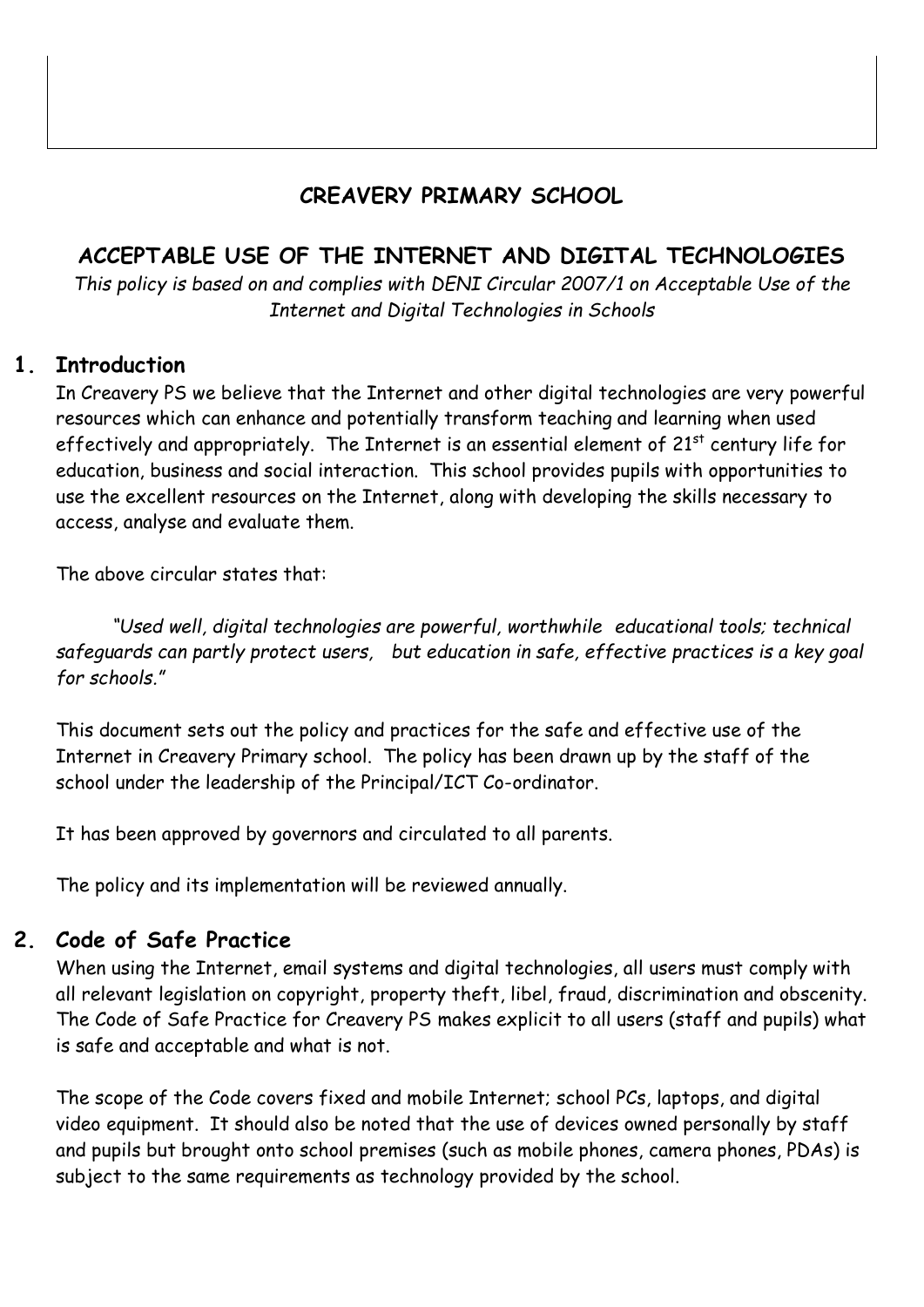## **CREAVERY PRIMARY SCHOOL**

## **ACCEPTABLE USE OF THE INTERNET AND DIGITAL TECHNOLOGIES**

*This policy is based on and complies with DENI Circular 2007/1 on Acceptable Use of the Internet and Digital Technologies in Schools*

## **1. Introduction**

In Creavery PS we believe that the Internet and other digital technologies are very powerful resources which can enhance and potentially transform teaching and learning when used effectively and appropriately. The Internet is an essential element of 21<sup>st</sup> century life for education, business and social interaction. This school provides pupils with opportunities to use the excellent resources on the Internet, along with developing the skills necessary to access, analyse and evaluate them.

The above circular states that:

*"Used well, digital technologies are powerful, worthwhile educational tools; technical safeguards can partly protect users, but education in safe, effective practices is a key goal for schools."*

This document sets out the policy and practices for the safe and effective use of the Internet in Creavery Primary school. The policy has been drawn up by the staff of the school under the leadership of the Principal/ICT Co-ordinator.

It has been approved by governors and circulated to all parents.

The policy and its implementation will be reviewed annually.

## **2. Code of Safe Practice**

When using the Internet, email systems and digital technologies, all users must comply with all relevant legislation on copyright, property theft, libel, fraud, discrimination and obscenity. The Code of Safe Practice for Creavery PS makes explicit to all users (staff and pupils) what is safe and acceptable and what is not.

The scope of the Code covers fixed and mobile Internet; school PCs, laptops, and digital video equipment. It should also be noted that the use of devices owned personally by staff and pupils but brought onto school premises (such as mobile phones, camera phones, PDAs) is subject to the same requirements as technology provided by the school.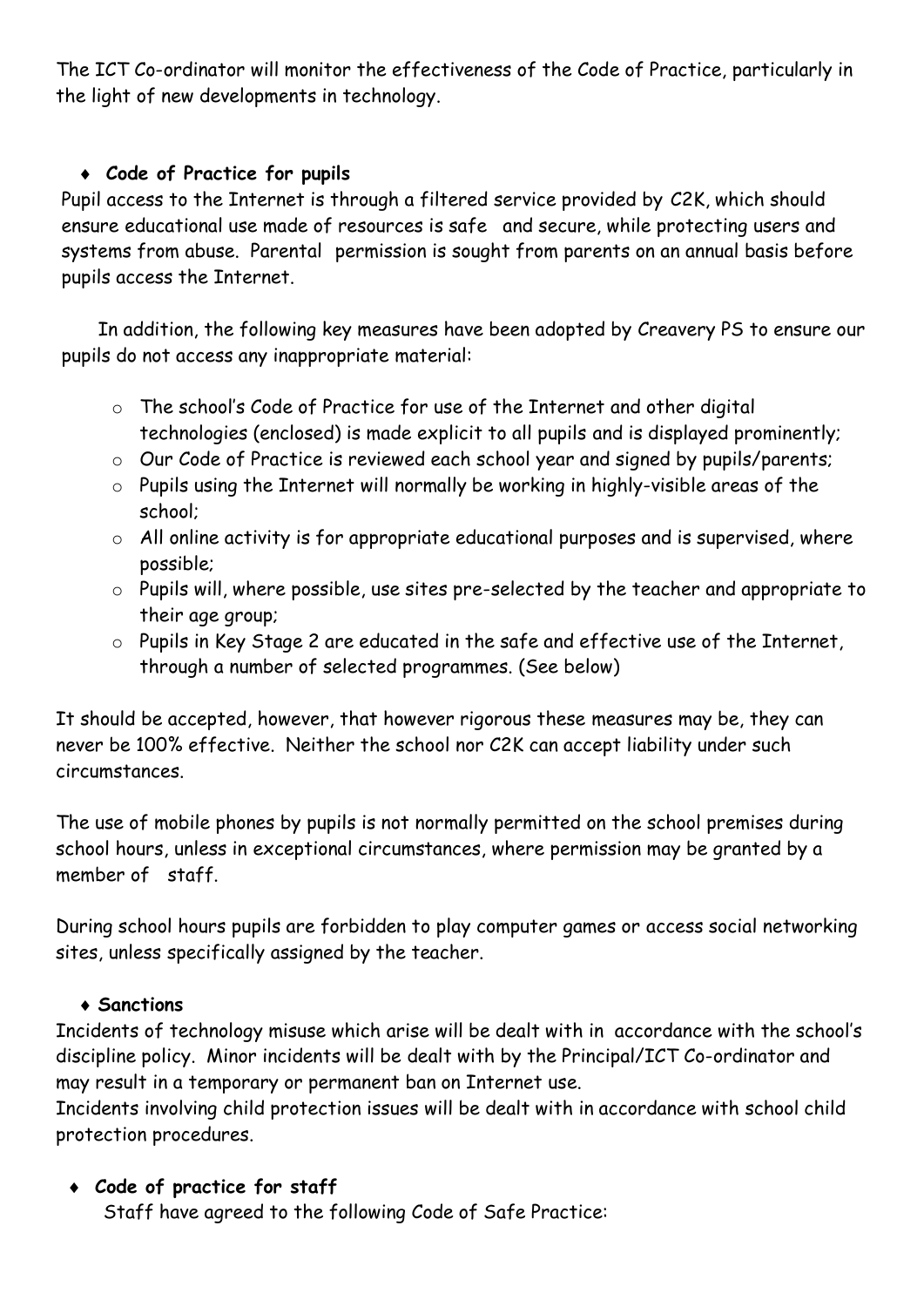The ICT Co-ordinator will monitor the effectiveness of the Code of Practice, particularly in the light of new developments in technology.

## **Code of Practice for pupils**

Pupil access to the Internet is through a filtered service provided by C2K, which should ensure educational use made of resources is safe and secure, while protecting users and systems from abuse. Parental permission is sought from parents on an annual basis before pupils access the Internet.

In addition, the following key measures have been adopted by Creavery PS to ensure our pupils do not access any inappropriate material:

- o The school's Code of Practice for use of the Internet and other digital technologies (enclosed) is made explicit to all pupils and is displayed prominently;
- o Our Code of Practice is reviewed each school year and signed by pupils/parents;
- o Pupils using the Internet will normally be working in highly-visible areas of the school;
- o All online activity is for appropriate educational purposes and is supervised, where possible;
- o Pupils will, where possible, use sites pre-selected by the teacher and appropriate to their age group;
- o Pupils in Key Stage 2 are educated in the safe and effective use of the Internet, through a number of selected programmes. (See below)

It should be accepted, however, that however rigorous these measures may be, they can never be 100% effective. Neither the school nor C2K can accept liability under such circumstances.

The use of mobile phones by pupils is not normally permitted on the school premises during school hours, unless in exceptional circumstances, where permission may be granted by a member of staff.

During school hours pupils are forbidden to play computer games or access social networking sites, unless specifically assigned by the teacher.

## **Sanctions**

Incidents of technology misuse which arise will be dealt with in accordance with the school's discipline policy. Minor incidents will be dealt with by the Principal/ICT Co-ordinator and may result in a temporary or permanent ban on Internet use.

Incidents involving child protection issues will be dealt with in accordance with school child protection procedures.

## **Code of practice for staff**

Staff have agreed to the following Code of Safe Practice: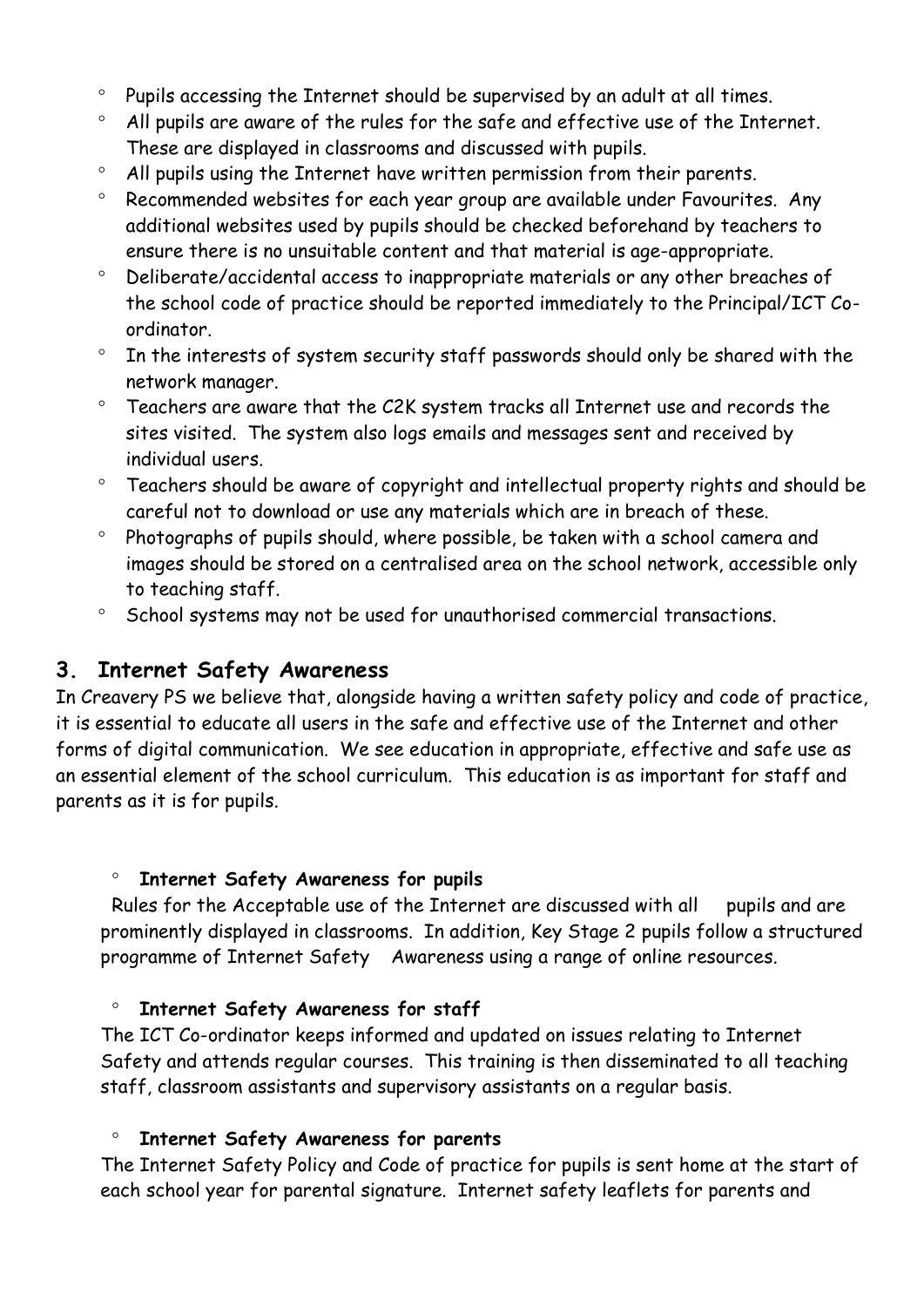- <sup>o</sup> Pupils accessing the Internet should be supervised by an adult at all times.
- All pupils are aware of the rules for the safe and effective use of the Internet. These are displayed in classrooms and discussed with pupils.
- All pupils using the Internet have written permission from their parents.
- Recommended websites for each year group are available under Favourites. Any additional websites used by pupils should be checked beforehand by teachers to ensure there is no unsuitable content and that material is age-appropriate.
- Deliberate/accidental access to inappropriate materials or any other breaches of the school code of practice should be reported immediately to the Principal/ICT Coordinator.
- $\degree$  In the interests of system security staff passwords should only be shared with the network manager.
- Teachers are aware that the C2K system tracks all Internet use and records the sites visited. The system also logs emails and messages sent and received by individual users.
- Teachers should be aware of copyright and intellectual property rights and should be careful not to download or use any materials which are in breach of these.
- <sup>o</sup> Photographs of pupils should, where possible, be taken with a school camera and images should be stored on a centralised area on the school network, accessible only to teaching staff.
- <sup>o</sup> School systems may not be used for unauthorised commercial transactions.

#### **3. Internet Safety Awareness**

In Creavery PS we believe that, alongside having a written safety policy and code of practice, it is essential to educate all users in the safe and effective use of the Internet and other forms of digital communication. We see education in appropriate, effective and safe use as an essential element of the school curriculum. This education is as important for staff and parents as it is for pupils.

#### **Internet Safety Awareness for pupils**

Rules for the Acceptable use of the Internet are discussed with all pupils and are prominently displayed in classrooms. In addition, Key Stage 2 pupils follow a structured programme of Internet Safety Awareness using a range of online resources.

#### **Internet Safety Awareness for staff**

The ICT Co-ordinator keeps informed and updated on issues relating to Internet Safety and attends regular courses. This training is then disseminated to all teaching staff, classroom assistants and supervisory assistants on a regular basis.

#### **Internet Safety Awareness for parents**

The Internet Safety Policy and Code of practice for pupils is sent home at the start of each school year for parental signature. Internet safety leaflets for parents and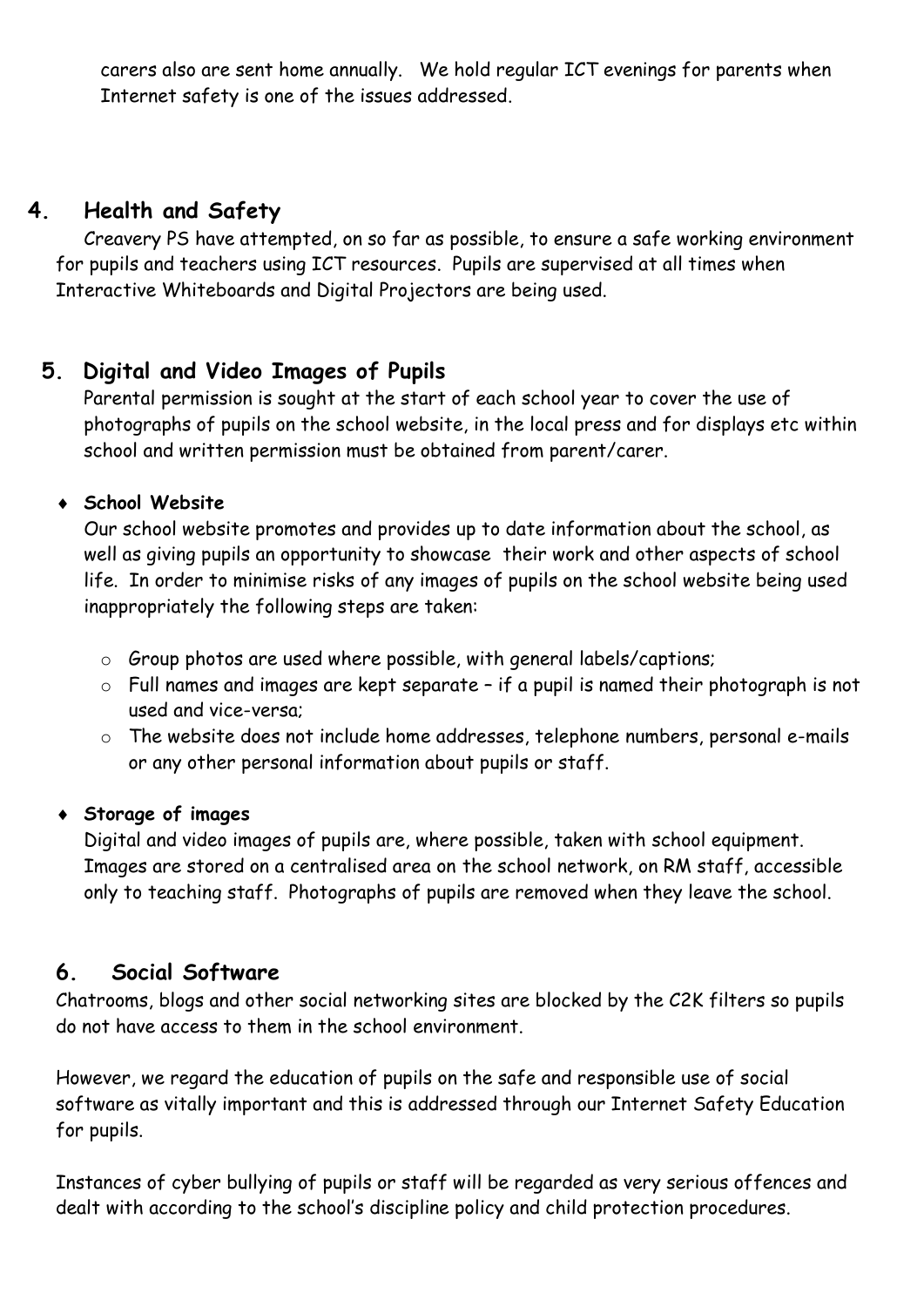carers also are sent home annually. We hold regular ICT evenings for parents when Internet safety is one of the issues addressed.

## **4. Health and Safety**

Creavery PS have attempted, on so far as possible, to ensure a safe working environment for pupils and teachers using ICT resources. Pupils are supervised at all times when Interactive Whiteboards and Digital Projectors are being used.

## **5. Digital and Video Images of Pupils**

Parental permission is sought at the start of each school year to cover the use of photographs of pupils on the school website, in the local press and for displays etc within school and written permission must be obtained from parent/carer.

## **School Website**

Our school website promotes and provides up to date information about the school, as well as giving pupils an opportunity to showcase their work and other aspects of school life. In order to minimise risks of any images of pupils on the school website being used inappropriately the following steps are taken:

- o Group photos are used where possible, with general labels/captions;
- o Full names and images are kept separate if a pupil is named their photograph is not used and vice-versa;
- o The website does not include home addresses, telephone numbers, personal e-mails or any other personal information about pupils or staff.

## **Storage of images**

Digital and video images of pupils are, where possible, taken with school equipment. Images are stored on a centralised area on the school network, on RM staff, accessible only to teaching staff. Photographs of pupils are removed when they leave the school.

## **6. Social Software**

Chatrooms, blogs and other social networking sites are blocked by the C2K filters so pupils do not have access to them in the school environment.

However, we regard the education of pupils on the safe and responsible use of social software as vitally important and this is addressed through our Internet Safety Education for pupils.

Instances of cyber bullying of pupils or staff will be regarded as very serious offences and dealt with according to the school's discipline policy and child protection procedures.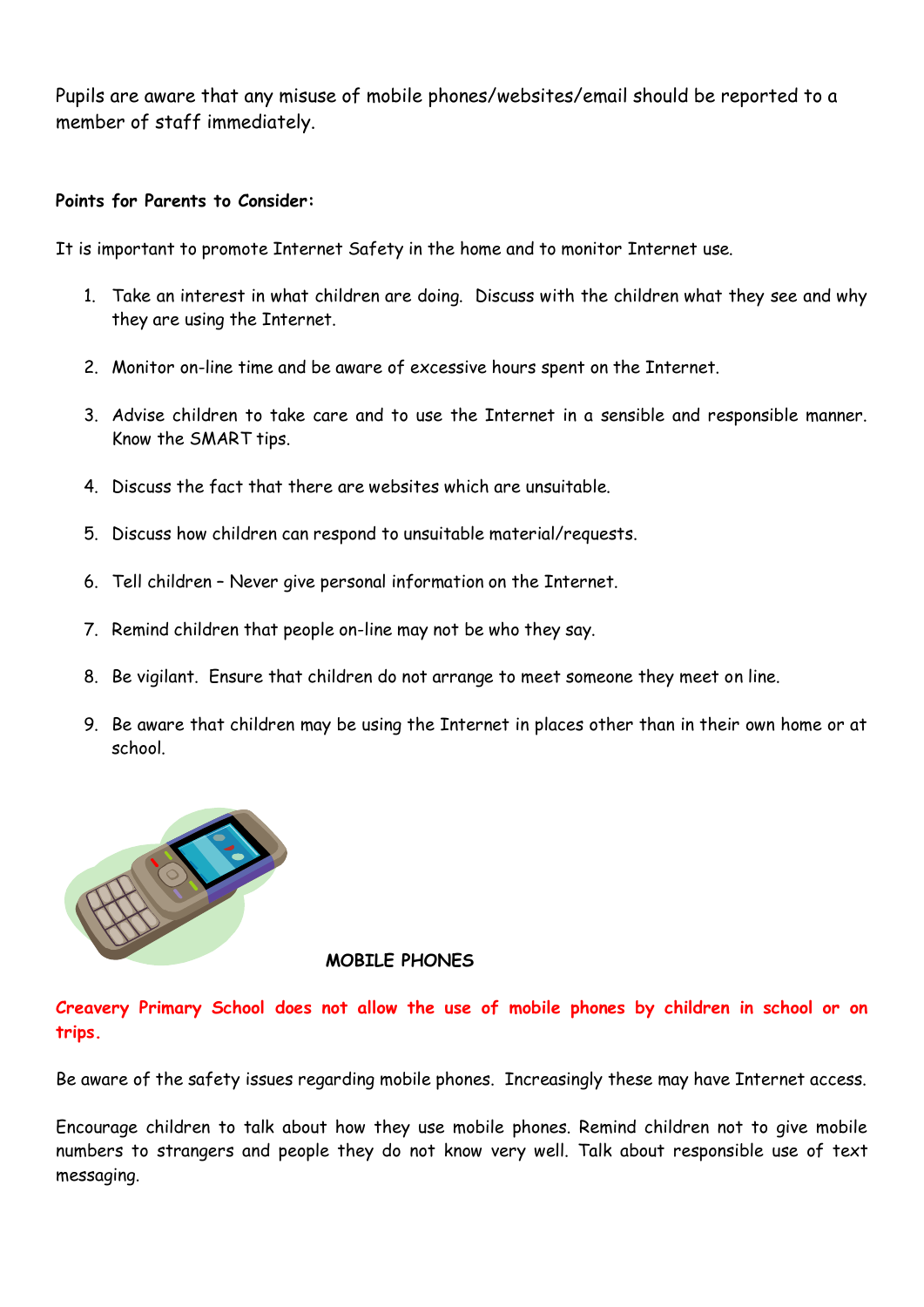Pupils are aware that any misuse of mobile phones/websites/email should be reported to a member of staff immediately.

#### **Points for Parents to Consider:**

It is important to promote Internet Safety in the home and to monitor Internet use.

- 1. Take an interest in what children are doing. Discuss with the children what they see and why they are using the Internet.
- 2. Monitor on-line time and be aware of excessive hours spent on the Internet.
- 3. Advise children to take care and to use the Internet in a sensible and responsible manner. Know the SMART tips.
- 4. Discuss the fact that there are websites which are unsuitable.
- 5. Discuss how children can respond to unsuitable material/requests.
- 6. Tell children Never give personal information on the Internet.
- 7. Remind children that people on-line may not be who they say.
- 8. Be vigilant. Ensure that children do not arrange to meet someone they meet on line.
- 9. Be aware that children may be using the Internet in places other than in their own home or at school.



#### **MOBILE PHONES**

**Creavery Primary School does not allow the use of mobile phones by children in school or on trips.**

Be aware of the safety issues regarding mobile phones. Increasingly these may have Internet access.

Encourage children to talk about how they use mobile phones. Remind children not to give mobile numbers to strangers and people they do not know very well. Talk about responsible use of text messaging.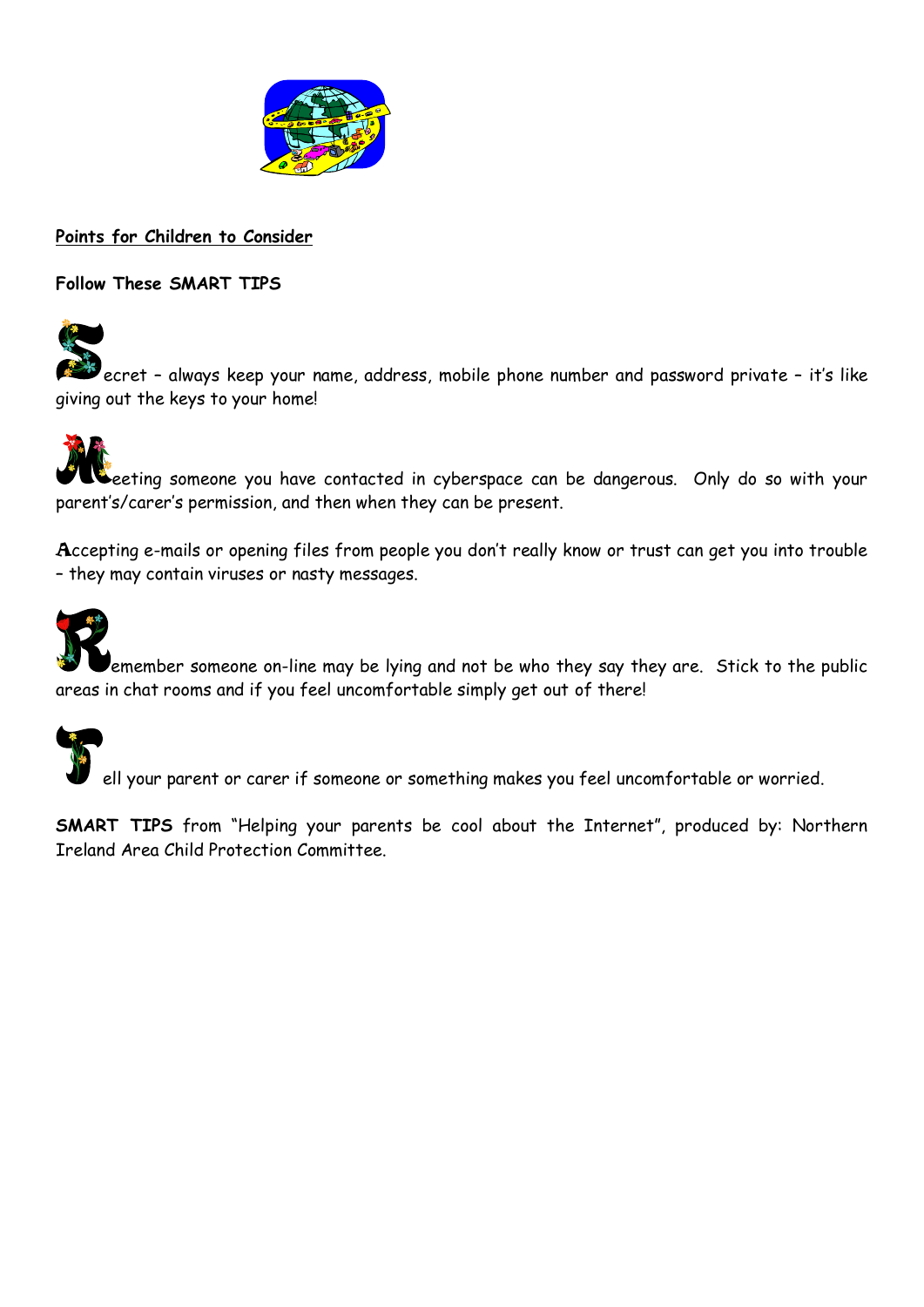

**Points for Children to Consider**

**Follow These SMART TIPS**



ecret – always keep your name, address, mobile phone number and password private – it's like giving out the keys to your home!

eeting someone you have contacted in cyberspace can be dangerous. Only do so with your parent's/carer's permission, and then when they can be present.

Accepting e-mails or opening files from people you don't really know or trust can get you into trouble – they may contain viruses or nasty messages.



emember someone on-line may be lying and not be who they say they are. Stick to the public areas in chat rooms and if you feel uncomfortable simply get out of there!



ell your parent or carer if someone or something makes you feel uncomfortable or worried.

**SMART TIPS** from "Helping your parents be cool about the Internet", produced by: Northern Ireland Area Child Protection Committee.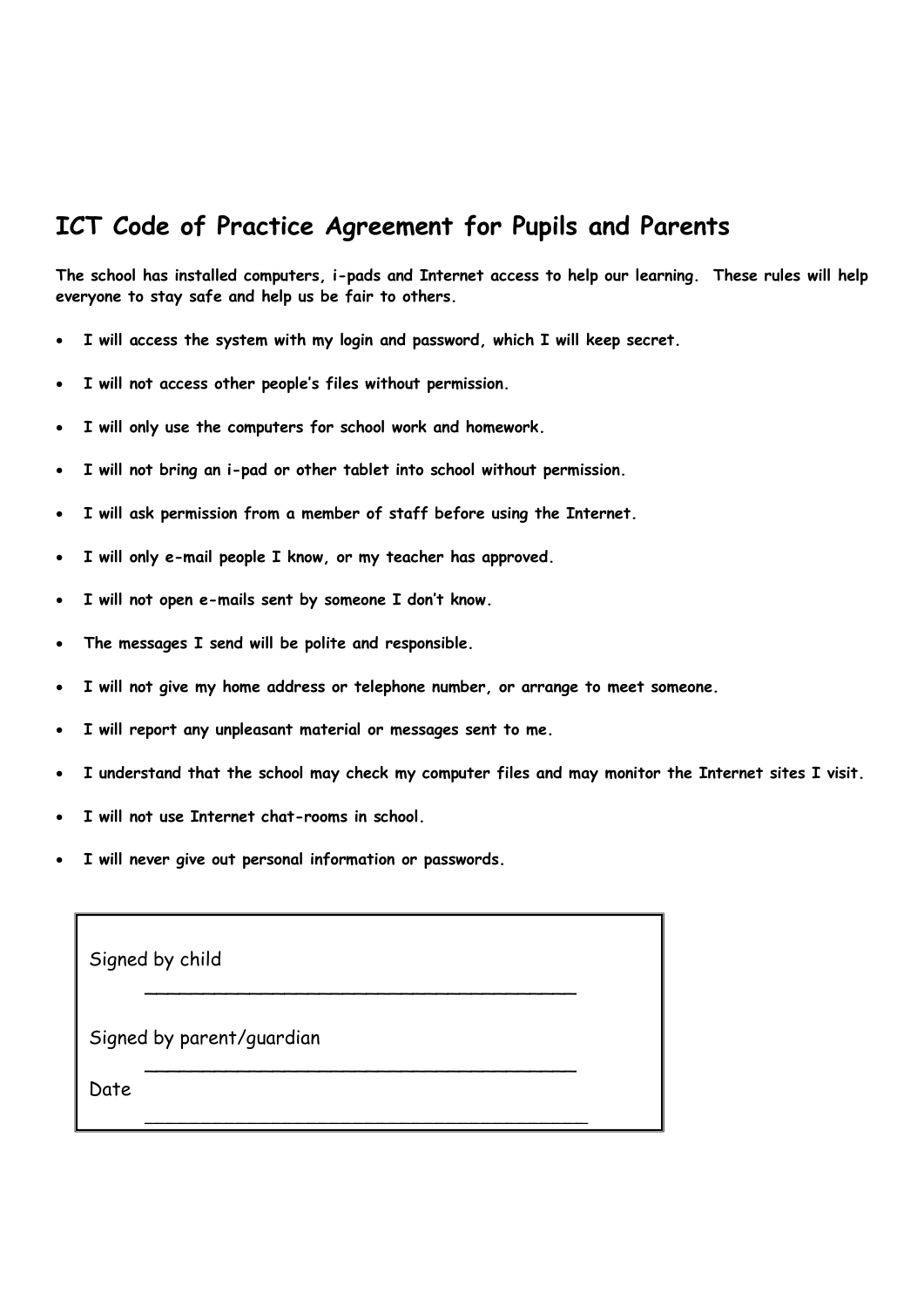## **ICT Code of Practice Agreement for Pupils and Parents**

**The school has installed computers, i-pads and Internet access to help our learning. These rules will help everyone to stay safe and help us be fair to others.**

- **I will access the system with my login and password, which I will keep secret.**
- **I will not access other people's files without permission.**
- **I will only use the computers for school work and homework.**
- **I will not bring an i-pad or other tablet into school without permission.**
- **I will ask permission from a member of staff before using the Internet.**
- **I will only e-mail people I know, or my teacher has approved.**
- **I will not open e-mails sent by someone I don't know.**
- **The messages I send will be polite and responsible.**
- **I will not give my home address or telephone number, or arrange to meet someone.**
- **I will report any unpleasant material or messages sent to me.**
- **I understand that the school may check my computer files and may monitor the Internet sites I visit.**
- **I will not use Internet chat-rooms in school.**
- **I will never give out personal information or passwords.**

| Signed by child           |  |
|---------------------------|--|
| Signed by parent/guardian |  |
| Date                      |  |